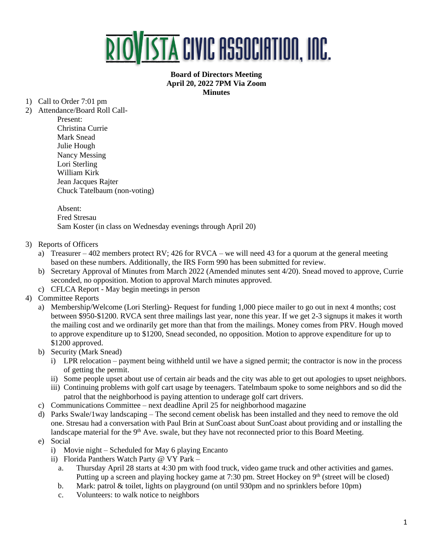

## **Board of Directors Meeting April 20, 2022 7PM Via Zoom Minutes**

- 1) Call to Order 7:01 pm
- 2) Attendance/Board Roll Call-Present: Christina Currie Mark Snead Julie Hough Nancy Messing Lori Sterling William Kirk Jean Jacques Rajter Chuck Tatelbaum (non-voting)

Absent: Fred Stresau Sam Koster (in class on Wednesday evenings through April 20)

- 3) Reports of Officers
	- a) Treasurer 402 members protect RV; 426 for RVCA we will need 43 for a quorum at the general meeting based on these numbers. Additionally, the IRS Form 990 has been submitted for review.
	- b) Secretary Approval of Minutes from March 2022 (Amended minutes sent 4/20). Snead moved to approve, Currie seconded, no opposition. Motion to approval March minutes approved.
	- c) CFLCA Report May begin meetings in person
- 4) Committee Reports
	- a) Membership/Welcome (Lori Sterling)- Request for funding 1,000 piece mailer to go out in next 4 months; cost between \$950-\$1200. RVCA sent three mailings last year, none this year. If we get 2-3 signups it makes it worth the mailing cost and we ordinarily get more than that from the mailings. Money comes from PRV. Hough moved to approve expenditure up to \$1200, Snead seconded, no opposition. Motion to approve expenditure for up to \$1200 approved.
	- b) Security (Mark Snead)
		- i) LPR relocation payment being withheld until we have a signed permit; the contractor is now in the process of getting the permit.
		- ii) Some people upset about use of certain air beads and the city was able to get out apologies to upset neighbors.
		- iii) Continuing problems with golf cart usage by teenagers. Tatelmbaum spoke to some neighbors and so did the patrol that the neighborhood is paying attention to underage golf cart drivers.
	- c) Communications Committee next deadline April 25 for neighborhood magazine
	- d) Parks Swale/1way landscaping The second cement obelisk has been installed and they need to remove the old one. Stresau had a conversation with Paul Brin at SunCoast about SunCoast about providing and or installing the landscape material for the 9<sup>th</sup> Ave. swale, but they have not reconnected prior to this Board Meeting.
	- e) Social
		- i) Movie night Scheduled for May 6 playing Encanto
		- ii) Florida Panthers Watch Party @ VY Park
			- a. Thursday April 28 starts at 4:30 pm with food truck, video game truck and other activities and games. Putting up a screen and playing hockey game at 7:30 pm. Street Hockey on  $9<sup>th</sup>$  (street will be closed)
			- b. Mark: patrol & toilet, lights on playground (on until 930pm and no sprinklers before 10pm)
			- c. Volunteers: to walk notice to neighbors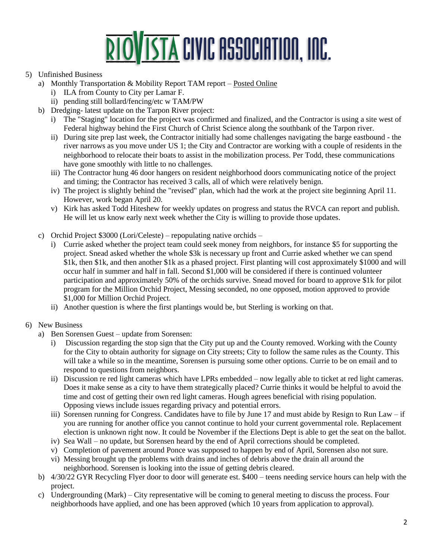## **RIOVISTA CIVIC ASSOCIATION, INC.**

## 5) Unfinished Business

- a) Monthly Transportation & Mobility Report TAM report [Posted Online](https://www.riovistaonline.com/city-county-info/transportation-and-mobility-status-reports)
	- i) ILA from County to City per Lamar F.
	- ii) pending still bollard/fencing/etc w TAM/PW
- b) Dredging- latest update on the Tarpon River project:
	- i) The "Staging" location for the project was confirmed and finalized, and the Contractor is using a site west of Federal highway behind the First Church of Christ Science along the southbank of the Tarpon river.
	- ii) During site prep last week, the Contractor initially had some challenges navigating the barge eastbound the river narrows as you move under US 1; the City and Contractor are working with a couple of residents in the neighborhood to relocate their boats to assist in the mobilization process. Per Todd, these communications have gone smoothly with little to no challenges.
	- iii) The Contractor hung 46 door hangers on resident neighborhood doors communicating notice of the project and timing; the Contractor has received 3 calls, all of which were relatively benign.
	- iv) The project is slightly behind the "revised" plan, which had the work at the project site beginning April 11. However, work began April 20.
	- v) Kirk has asked Todd Hiteshew for weekly updates on progress and status the RVCA can report and publish. He will let us know early next week whether the City is willing to provide those updates.
- c) Orchid Project \$3000 (Lori/Celeste) repopulating native orchids
	- i) Currie asked whether the project team could seek money from neighbors, for instance \$5 for supporting the project. Snead asked whether the whole \$3k is necessary up front and Currie asked whether we can spend \$1k, then \$1k, and then another \$1k as a phased project. First planting will cost approximately \$1000 and will occur half in summer and half in fall. Second \$1,000 will be considered if there is continued volunteer participation and approximately 50% of the orchids survive. Snead moved for board to approve \$1k for pilot program for the Million Orchid Project, Messing seconded, no one opposed, motion approved to provide \$1,000 for Million Orchid Project.
	- ii) Another question is where the first plantings would be, but Sterling is working on that.
- 6) New Business
	- a) Ben Sorensen Guest update from Sorensen:
		- i) Discussion regarding the stop sign that the City put up and the County removed. Working with the County for the City to obtain authority for signage on City streets; City to follow the same rules as the County. This will take a while so in the meantime, Sorensen is pursuing some other options. Currie to be on email and to respond to questions from neighbors.
		- ii) Discussion re red light cameras which have LPRs embedded now legally able to ticket at red light cameras. Does it make sense as a city to have them strategically placed? Currie thinks it would be helpful to avoid the time and cost of getting their own red light cameras. Hough agrees beneficial with rising population. Opposing views include issues regarding privacy and potential errors.
		- iii) Sorensen running for Congress. Candidates have to file by June 17 and must abide by Resign to Run Law if you are running for another office you cannot continue to hold your current governmental role. Replacement election is unknown right now. It could be November if the Elections Dept is able to get the seat on the ballot.
		- iv) Sea Wall no update, but Sorensen heard by the end of April corrections should be completed.
		- v) Completion of pavement around Ponce was supposed to happen by end of April, Sorensen also not sure.
		- vi) Messing brought up the problems with drains and inches of debris above the drain all around the neighborhood. Sorensen is looking into the issue of getting debris cleared.
	- b) 4/30/22 GYR Recycling Flyer door to door will generate est. \$400 teens needing service hours can help with the project.
	- c) Undergrounding (Mark) City representative will be coming to general meeting to discuss the process. Four neighborhoods have applied, and one has been approved (which 10 years from application to approval).